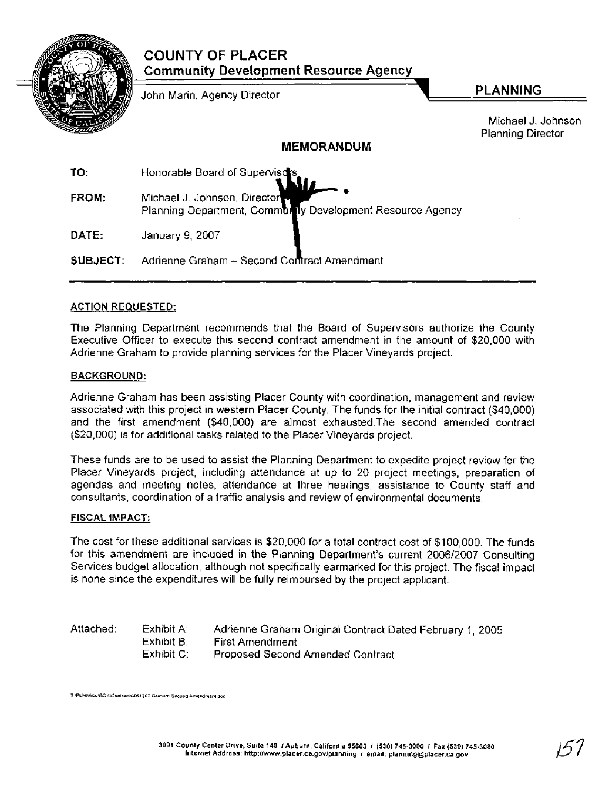|                   | <b>COUNTY OF PLACER</b><br><b>Community Development Resource Agency</b>                    |                                                |  |
|-------------------|--------------------------------------------------------------------------------------------|------------------------------------------------|--|
|                   | John Marin, Agency Director                                                                | <b>PLANNING</b>                                |  |
|                   |                                                                                            | Michael J. Johnson<br><b>Planning Director</b> |  |
| <b>MEMORANDUM</b> |                                                                                            |                                                |  |
| TO:               | Honorable Board of Supervisors,                                                            |                                                |  |
| FROM:             | Michael J. Johnson, Director<br>Planning Department, Community Development Resource Agency |                                                |  |
| DATE:             | January 9, 2007                                                                            |                                                |  |
| SUBJECT:          | Adrienne Graham - Second Contract Amendment                                                |                                                |  |

## **ACTION REQUESTED:**

The Planning Department recommends that the Board of Supervisors authorize the County Executive Officer to execute this second contract amendment in the amount of \$20,000 with Adrienne Graham to provide planning services for the Placer Vineyards project.

## **BACKGROUND:**

Adrienne Graham has been assisting Placer County with coordination, management and review associated with this project in western Placer County. The funds for the initial contract (\$40,000) and the first amendment (\$40,000) are almost exhausted.The second amended contract (\$20,000) is for additional tasks related to the Placer Vineyards project.

These funds are to be used to assist the Planning Department to expedite project review for the Placer Vineyards project, including attendance at up to 20 project meetings, preparation of agendas and meeting notes, attendance at three hearings, assistance to County staff and consultants, coordination of a traffic analysis and review of environmental documents.

#### **FISCAL IMPACT:**

The cost for these additional services is \$20,000 for a total contract cost of \$100,000. The funds for this amendment are included in the Planning Department's current 200612007 Consulting Services budget allocation, although not specifically earmarked for this project. The fiscal impact is none since the expenditures will be fully reimbursed by the project applicant.

Attached: Exhibit A: Adrienne Graham Original Contract Dated February 1, 2005 Exhibit B: First Amendment<br>Exhibit C: Proposed Second Proposed Second Amended Contract

**T \PLN\YI~l;r\BOS\C0ntraas1061207 Graham Second Amendment doc**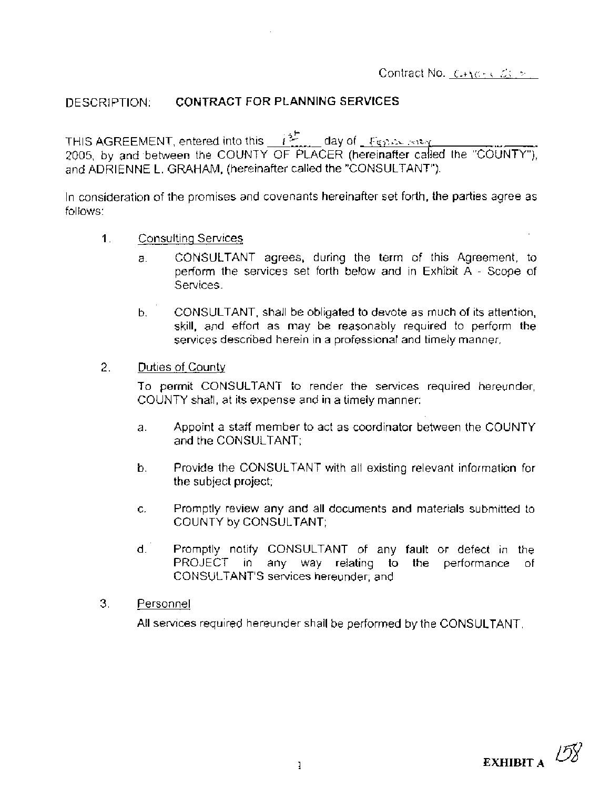# DESCRIPTION: **CONTRACT FOR** PLANNING **SERVICES**

THIS AGREEMENT, entered into this  $\frac{1}{2}$  day of  $\frac{F_{\text{QED}}}{F_{\text{QED}}+F_{\text{QED}}}$ 2005, by and between the COUNTY OF PLACER (hereinafter called the "COUNTY"), and ADRIENNE L. GRAHAM, (hereinafter called the "CONSULTANT").

In consideration of the promises and covenants hereinafter set forth, the parties agree as follows:

- 1. Consultinq Services
	- a. CONSULTANT agrees, during the term of this Agreement, to perform the services set forth below and in Exhibit A - Scope of Services.
	- b. CONSULTANT, shall be obligated to devote as much of its attention, skill, and effort as may be reasonably required to perform the services described herein in a professional and timely manner.
- 2. Duties of County

To permit CONSULTANT to render the services required hereunder, COUNTY shall, at its expense and in a timely manner:

- a. Appoint a staff member to act as coordinator between the COUNTY and the CONSULTANT;
- b. Provide the CONSULTANT with all existing relevant information for the subject project;
- c. Promptly review any and all documents and materials submitted to COUNTY by CONSULTANT;
- d. Promptly notify CONSULTANT of any fault or defect in the PROJECT in any way relating to the performance of CONSULTANT'S services hereunder; and
- 3. Personnel

All services required hereunder shall be performed by the CONSULTANT.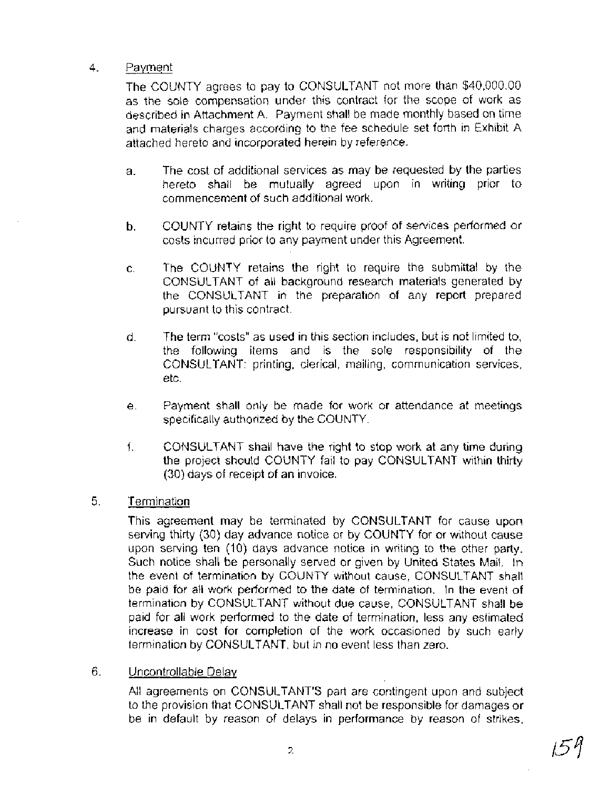# 4. Payment

The COUNTY agrees to pay to CONSUL-TANT not more than \$40,000.00 as the sole compensation under this contract for the scope of work as described in Attachment A. Payment shall be made monthly based on time and materials charges according to the fee schedule set forth in Exhibit A attached hereto and incorporated herein by reference.

- a. The cost of additional services as may be requested by the parties hereto shall be mutually agreed upon in writing prior to commencement of such additional work.
- b. COUNTY retains the right to require proof of services performed or costs incurred prior to any payment under this Agreement.
- c. The COUNTY retains the right to require the submittal by the CONSULTANT of all background research materials generated by the CONSULTANT in the preparation of any report prepared pursuant to this contract.
- d. The term "costs" as used in this section includes, but is not limited to, the following items and is the sole responsibility of the CONSULTANT: printing, clerical, mailing, communication services, etc.
- e. Payment shall only be made for work or attendance at meetings specifically authorized by the COUNTY.
- f. CONSULTANT shall have the right to stop work at any time during the project should COUNTY fail to pay CONSULTANT within thirty (30) days of receipt of an invoice.
- 5. Termination

This agreement may be terminated by CONSULTANT for cause upon serving thirty (30) day advance notice or by COUNTY for or without cause upon serving ten (10) days advance notice in writing to the other party. Such notice shall be personally served or given by United States Mail. In the event of termination by COUNTY without cause, CONSULTANT shall be paid for all work performed to the date of termination. In the event of termination by CONSULTANT without due cause, CONSULTANT shall be paid for all work performed to the date of termination, less any estimated increase in cost for completion of the work occasioned by such early termination by CONSULTANT, but in no event less than zero.

6. Uncontrollable Delay

All agreements on CONSULTANT'S part are contingent upon and subject to the provision that CONSULTANT shall not be responsible for damages or be in default by reason of delays in performance by reason of strikes,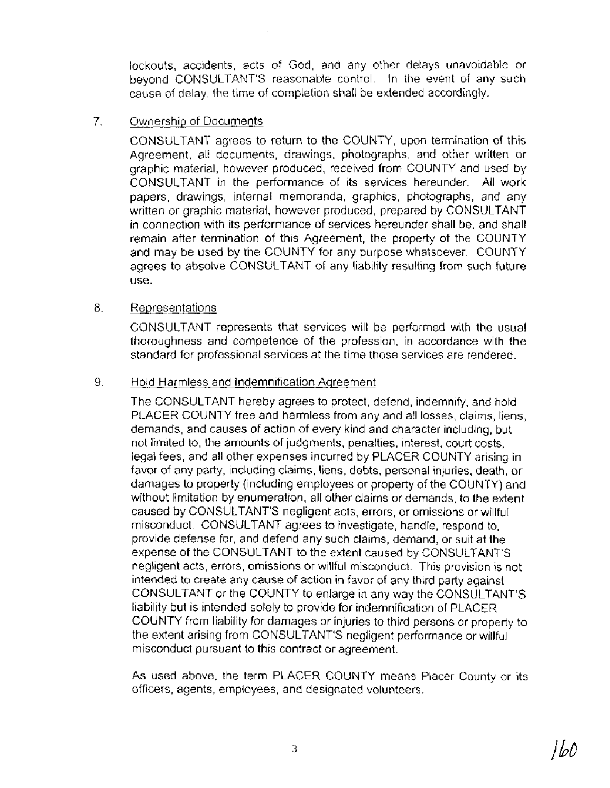lockouts, accidents, acts of God, and any other delays unavoidable or beyond CONSULTANT'S reasonable control. In the event of any such cause of delay, the time of completion shall be extended accordingly.

# 7. Ownership of Documents

CONSULTANT agrees to return to the COUNTY, upon termination of this Agreement, all documents, drawings, photographs, and other written or graphic material, however produced, received from COUNTY and used by CONSULTANT in the performance of its services hereunder. All work papers, drawings, internal memoranda, graphics, photographs, and any written or graphic material, however produced, prepared by CONSULTANT in connection with its performance of services hereunder shall be, and shall remain after termination of this Agreement, the property of the COUNTY and may be used by the COUNTY for any purpose whatsoever. COUNTY agrees to absolve CONSULTANT of any liability resulting from such future use.

# 8. Representations

CONSULTANT represents that services will be performed with the usual thoroughness and competence of the profession, in accordance with the standard for professional services at the time those services are rendered.

# 9. Hold Harmless and Indemnification Aqreement

The CONSULTANT hereby agrees to protect, defend, indemnify, and hold PLACER COUNTY free and harmless from any and all losses, claims, liens, demands, and causes of action of every kind and character including, but not limited to, the amounts of judgments, penalties, interest, court costs, legal fees, and all other expenses incurred by PLACER COUNTY arising in favor of any party, including claims, liens, debts, personal injuries, death, or damages to property (including employees or property of the COUNTY) and without limitation by enumeration, all other claims or demands, to the extent caused by CONSULTANT'S negligent acts, errors, or omissions or willful misconduct. CONSULTANT agrees to investigate, handle, respond to, provide defense for, and defend any such claims, demand, or suit at the expense of the CONSULTANT to the extent caused by CONSULTANT'S negligent acts, errors, omissions or willful misconduct. This provision is not intended to create any cause of action in favor of any third party against CONSULTANT or the COUNTY to enlarge in any way the CONSULTANT'S liability but is intended solely to provide for indemnification of PLACER COUNTY from liability for damages or injuries to third persons or property to the extent arising from CONSULTANT'S negligent performance or willful misconduct pursuant to this contract or agreement.

As used above, the term PLACER COUNTY means Placer County or its officers, agents, employees, and designated volunteers.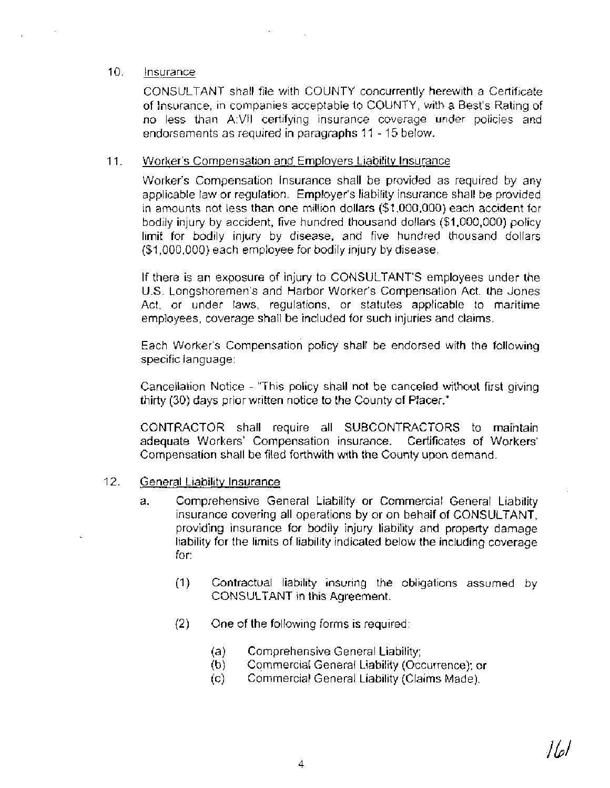## 10. **Insurance**

CONSULTANT shall file with COUNTY concurrently herewith a Certificate of Insurance, in companies acceptable to COUNTY, with a Best's Rating of no less than A:VII certifying insurance coverage under policies and endorsements as required in paragraphs I I - 15 below.

## 11. Worker's Compensation and Employers Liability Insurance

Worker's Compensation lnsurance shall be provided as required by any applicable law or regulation. Employer's liability insurance shall be provided in amounts not less than one million dollars (\$1,000,000) each accident for bodily injury by accident, five hundred thousand dollars (\$1,000,000) policy limit for bodily injury by disease, and five hundred thousand dollars (\$1,000,000) each employee for bodily injury by disease.

If there is an exposure of injury to CONSULTANT'S employees under the U.S. Longshoremen's and Harbor Worker's Compensation Act. the Jones Act, or under laws, regulations, or statutes applicable to maritime employees, coverage shall be included for such injuries and claims.

Each Worker's compensation policy shall be endorsed with the following specific language:

Cancellation Notice - "This policy shall not be canceled without first giving thirty (30) days prior written notice to the County of Placer."

CONTRACTOR shall require all SUBCONTRACTORS to maintain adequate Workers' Compensation insurance. Certificates of Workers' Compensation shall be filed forthwith with the County upon demand.

## 12. General Liability lnsurance

- a. Comprehensive General Liability or Commercial General Liability insurance covering all operations by or on behalf of CONSULTANT, providing insurance for bodily injury liability and property damage liability for the limits of liability indicated below the including coverage for:
	- (1) Contractual liability insuring the obligations assumed by CONSULTANT in this Agreement.
	- (2) One of the following forms is required:
		- (a) Comprehensive General Liability;
		- (b) Commercial General Liability (Occurrence); or<br>(c) Commercial General Liability (Claims Made).
		- (c) Commercial General Liability (Claims Made).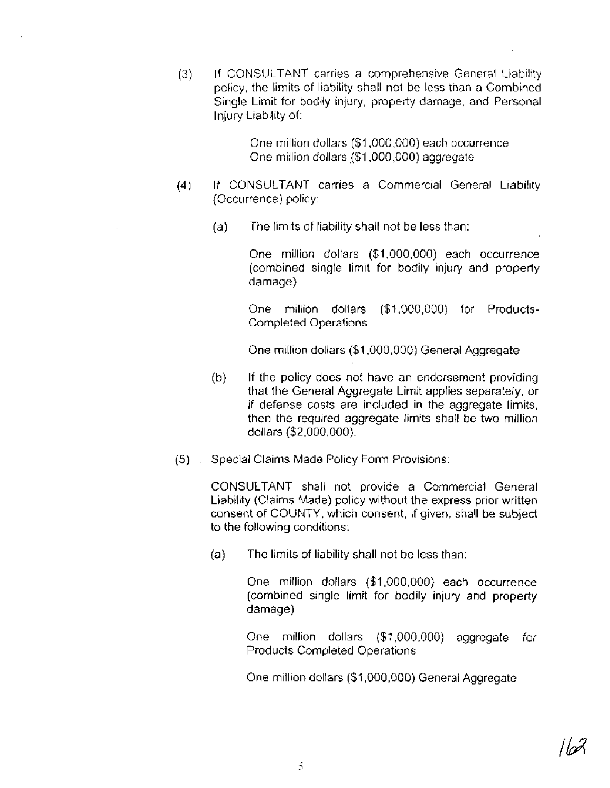*(3)* If CONSULTANT carries a comprehensive General Liability policy, the limits of liability shall not be less than a Combined Single Limit for bodily injury, property damage, and Personal Injury Liability of:

> One million dollars (\$1,000,000) each occurrence One million dollars (\$1,000,000) aggregate

- (4) If CONSULTANT carries a Commercial General Liability (Occurrence) policy:
	- (a) The limits of liability shall not be less than:

One million dollars (\$1,000,000) each occurrence (combined single limit for bodily injury and property damage)

One million dollars (\$1,000,000) for Products-Completed Operations

One million dollars (\$1,000,000) General Aggregate

- (b) If the policy does not have an endorsement providing that the General Aggregate Limit applies separately, or if defense costs are included in the aggregate limits, then the required aggregate limits shall be two million dollars (\$2,000,000).
- (5) . Special Claims Made Policy Form Provisions:

CONSULTANT shall not provide a Commercial General Liability (Claims Made) policy without the express prior written consent of COUNTY, which consent, if given, shall be subject to the following conditions:

(a) The limits of liability shall not be less than:

One million dollars (\$1,000,000) each occurrence (combined single limit for bodily injury and property damage)

One million dollars (\$1,000,000) aggregate for Products Completed Operations

One million dollars (\$1,000,000) General Aggregate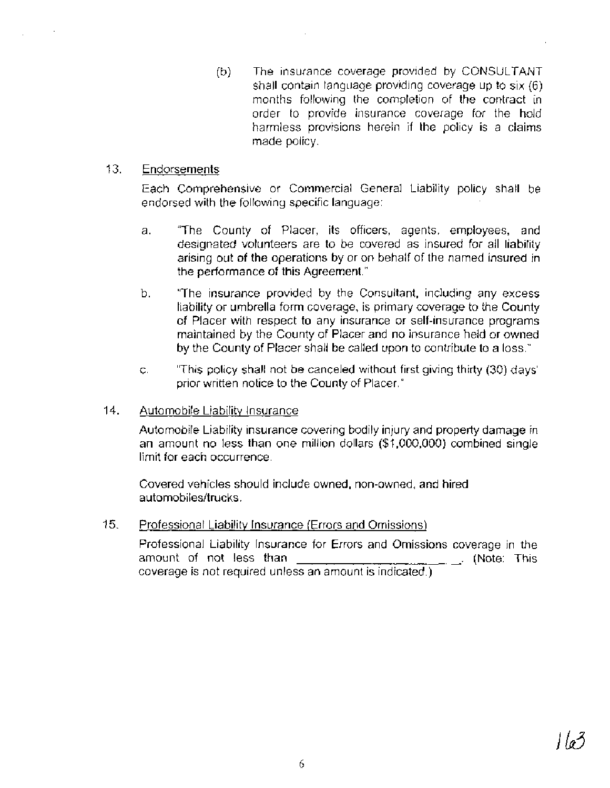(b) The insurance coverage provided by CONSULTANT shall contain language providing coverage up to six (6) months following the completion of the contract in order to provide insurance coverage for the hold harmless provisions herein if the policy is a claims made policy.

## 13. Endorsements

Each Comprehensive or Commercial General Liability policy shall be endorsed with the following specific language:

- a. "The County of Placer, its officers, agents, employees, and designated volunteers are to be covered as insured for all liability arising out of the operations by or on behalf of the named insured in the performance of this Agreement."
- b. "The insurance provided by the Consultant, including any excess liability or umbrella form coverage, is primary coverage to the County of Placer with respect to any insurance or self-insurance programs maintained by the County of Placer and no insurance held or owned by the County of Placer shall be called upon to contribute to a loss."
- c. "This policy shall not be canceled without first giving thirty (30) days' prior written notice to the County of Placer."

## 14. Automobile Liabilitv lnsurance

Automobile Liability insurance covering bodily injury and property damage in an amount no less than one million dollars (\$1,000,000) combined single limit for each occurrence.

Covered vehicles should include owned, non-owned, and hired automobiles/trucks.

## 15. Professional Liabilitv lnsurance (Errors and Omissions)

Professional Liability lnsurance for Errors and Omissions coverage in the amount of not less than **contained** amount of not less than **contained and contained and contained** and contained amount of this coverage is not required unless an amount is indicated.)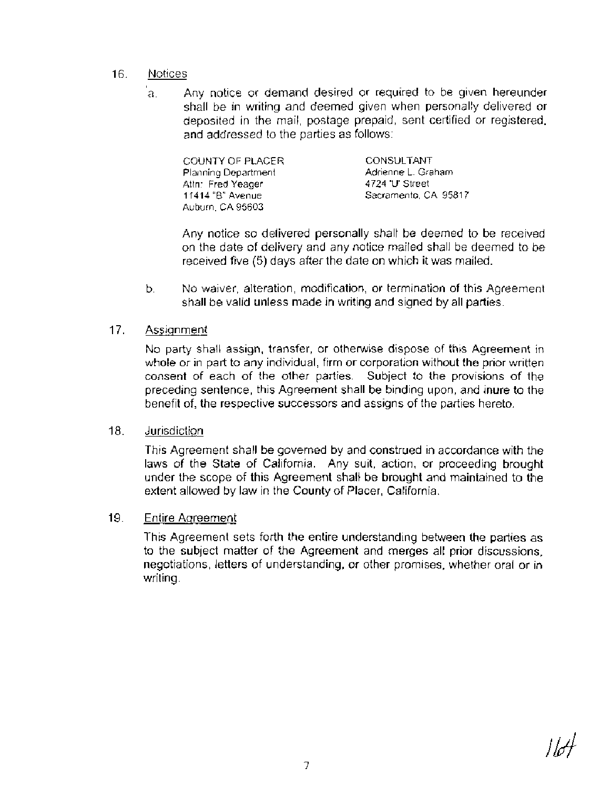## 16. Notices

a. Any notice or demand desired or required to be given hereunder shall be in writing and deemed given when personally delivered or deposited in the mail, postage prepaid, sent certified or registered, and addressed to the parties as follows:

| COUNTY OF PLACER.    | <b>CONSULTANT</b>    |
|----------------------|----------------------|
| Planning Department. | Adrienne L. Graham.  |
| Attn: Fred Yeager.   | 4724 'U' Street      |
| 11414 "B" Avenue     | Sacramento, CA 95817 |
| Auburn, CA 95603.    |                      |

Any notice so delivered personally shall be deemed to be received on the date of delivery and any notice mailed shall be deemed to be received five (5) days after the date on which it was mailed.

b. No waiver, alteration, modification, or termination of this Agreement shall be valid unless made in writing and signed by all parties.

# 17. Assiqnment

No party shall assign, transfer, or otherwise dispose of this Agreement in whole or in part to any individual, firm or corporation without the prior written consent of each of the other parties. Subject to the provisions of the preceding sentence, this Agreement shall be binding upon, and inure to the benefit of, the respective successors and assigns of the parties hereto.

# 18. Jurisdiction

This Agreement shall be governed by and construed in accordance with the laws of the State of California. Any suit, action, or proceeding brought under the scope of this Agreement shall be brought and maintained to the extent allowed by law in the County of Placer, California.

# 19. Entire Agreement

This Agreement sets forth the entire understanding between the parties as to the subject matter of the Agreement and merges all prior discussions, negotiations, letters of understanding, or other promises, whether oral or in writing.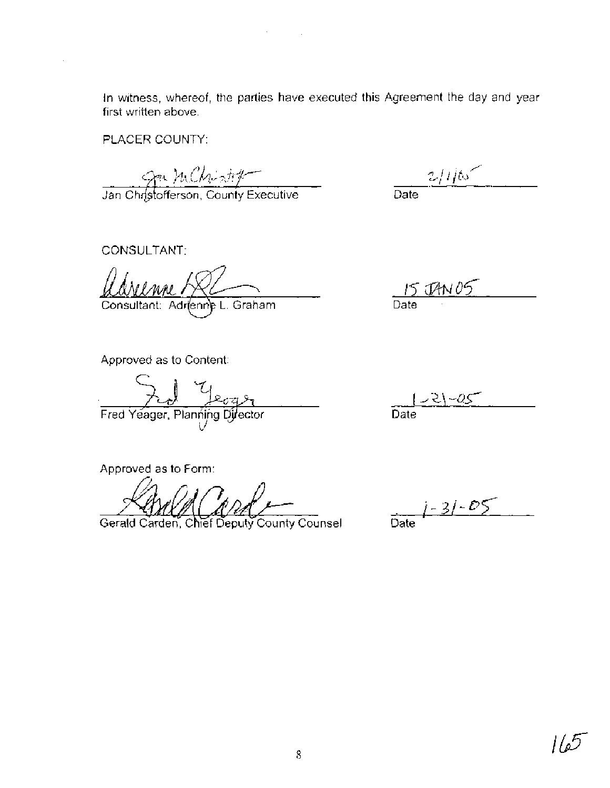In witness, whereof, the parties have executed this Agreement the day and year first written above.

 $\sigma_{\rm{max}}=0.1$ 

PLACER COUNTY:

- *34* (% qf+f~ *CflL I* **gl ,w,-\,** ,

Jan Chr[stofferson, County Executive\_

 $2/$ i $\frac{1}{2}$ Date

CONSULTANT:

Consultant: Adrienne L. Graham

Approved as to Content:

Fred Yeager, Planning Director

Approved as to Form:

Gerald Carden, Chief Deputy County Counsel

Date

-as Date

 $j - 3j - 05$ Date

5ء) ا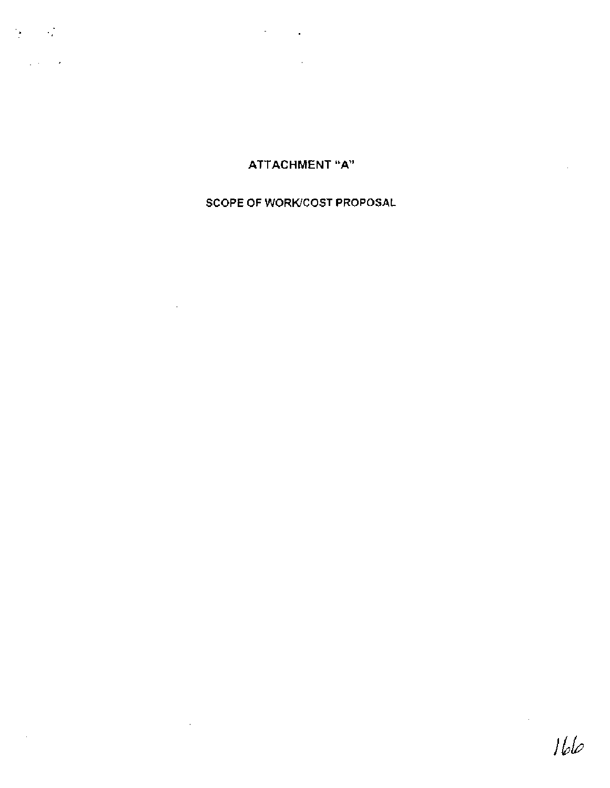$\mathcal{L}_{\mathrm{max}}$  ,  $\mathcal{L}_{\mathrm{max}}$ 

# $\mathcal{L}^{\mathcal{L}}$  ,  $\mathcal{L}^{\mathcal{L}}$  ,  $\mathcal{L}^{\mathcal{L}}$

**ATTACHMENT** "A

 $\ddot{\phantom{a}}$ 

 $\mathcal{A}_\mathrm{c}$ 

# **SCOPE OF WORKICOST PROPOSAL**

 $\sim 10^{11}$ 

 $\sim$ 

 $\bar{z}$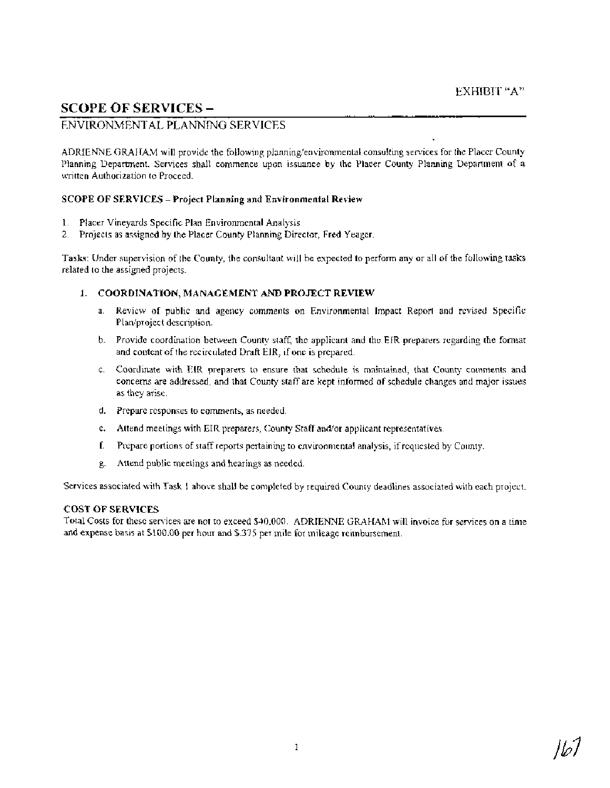# **SCOPE OF SERVICES** -

# ENVIRONMENTAL PLANNING SERVICES

ADRIENNE GRAtFAM will provide the following planning/environmental consulting services for the Placer County Planning Department. Services shall commence upon issuance by the Placer County Planning Department of a written Authorization to Proceed.

## **SCOPE OF SERVICES -Project Planning and Environmental Review**

- 1. Placer Vineyards Specific Plan Environmental Analysis
- 2. Projects as assigned by the Placer County Planning Director, Fred Yeager.

**Tasks:** Under supervision of the County, the consultant will be expected to perform any or all of the following tasks related to the assigned projects.

#### **1. COORDINATION, MANAGEMENT AND PROJECT REVIEW**

- a. Review of public and agency comments on Environmental Impact Report and revised Specific Plan/project description.
- b. Provide coordination between County staff, the applicant and the EIR preparers regarding the format and content of the recirculated Draft EIR, if one is prepared.
- c. Coordinate with EIR preparers to ensure that schedule is maintained, that County coinments and concerns are addressed, and that County staff are kept informed of schedule changes and major issues as they arise.
- d. Prepare responses to comments, as needed.
- e. Attend meetings with EIR preparers, County Staff and/or applicant representatives.
- f. Prepare portions of staff reports pertaining to environmental analysis, if requested by County.
- g. Attend public meetings and hearings as needed.

Services associated with Task 1 above shall be completed by required County deadlines associated with each project.

#### **COST OF SERVICES**

Total Costs for these services are not to exceed \$40,000. ADRIENNE GRAHAM will invoice for services on a time and expense basis at \$100.00 per hour and \$375 per mile for mileage reimbursement.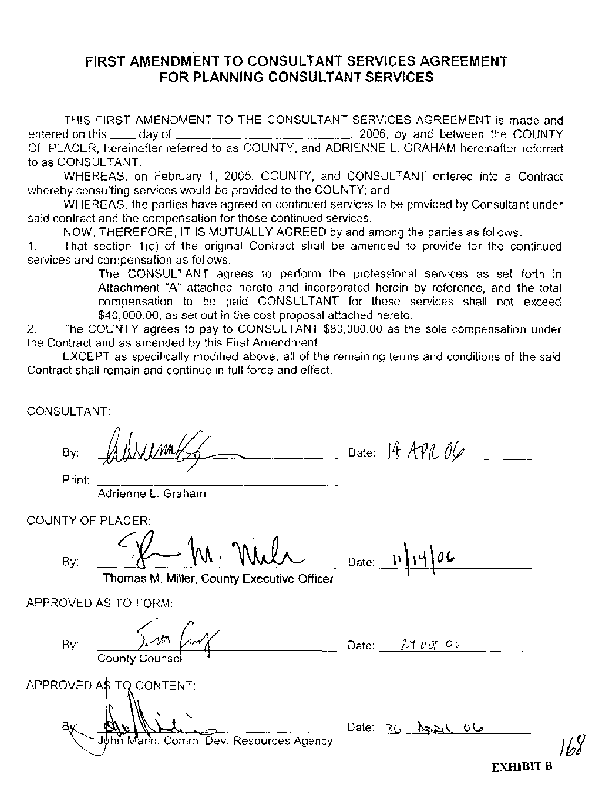# **FIRST AMENDMENT TO CONSULTANT SERVICES AGREEMENT FOR PLANNING CONSULTANT SERVICES**

THIS FIRST AMENDMENT TO THE CONSULTANT SERVICES AGREEMENT is made and entered on this day of , 2006, by and between the COUNTY OF PLACER, hereinafter referred to as COUNTY, and ADRIENNE L. GRAHAM hereinafter referred to as CONSULTANT.

WHEREAS, on February 1, 2005, COUNTY, and CONSULTANT entered into a Contract whereby consulting services would be provided to the COUNTY; and

WHEREAS, the parties have agreed to continued services to be provided by Consultant under said contract and the compensation for those continued services.

NOW, THEREFORE, IT IS MUTUALLY AGREED by and among the parties as follows:

1. That section l(c) of the original Contract shall be amended to provide for the continued services and compensation as follows:

The CONSULTANT agrees to perform the professional services as set forth in Attachment "A" attached hereto and incorporated herein by reference, and the total compensation to be paid CONSULTANT for these services shall not exceed \$40,000.00, as set out in the cost proposal attached hereto.

2. The COUNTY agrees to pay to CONSULTANT \$80,000.00 as the sole compensation under the Contract and as amended by this First Amendment.

EXCEPT as specifically modified above, all of the remaining terms and conditions of the said Contract shall remain and continue in full force and effect.

CONSULTANT:

By: AUWIMMESS Date: 14 APR OG

Print:

Adrienne L. Graham

COUNTY OF PLACER: *C* 

 $Bv:$ 

 $-\ln \text{Mult}$  Date:  $\ln \text{19}$ 

*168* 

**<sup>1</sup>**Thomas M. Miller, County Executive Officer

APPROVED AS TO FORM:

| By:<br>County Counsel                                                     | $2$ 100 $^{\circ}$ 06<br>Date: |
|---------------------------------------------------------------------------|--------------------------------|
| APPROVED A\$ TQ CONTENT:<br>Bх.<br>nn Marin, Comm. Dev. Resources Agency. | Date: $26$ ASEL<br>ما 0        |
|                                                                           | <b>EXHIBIT B</b>               |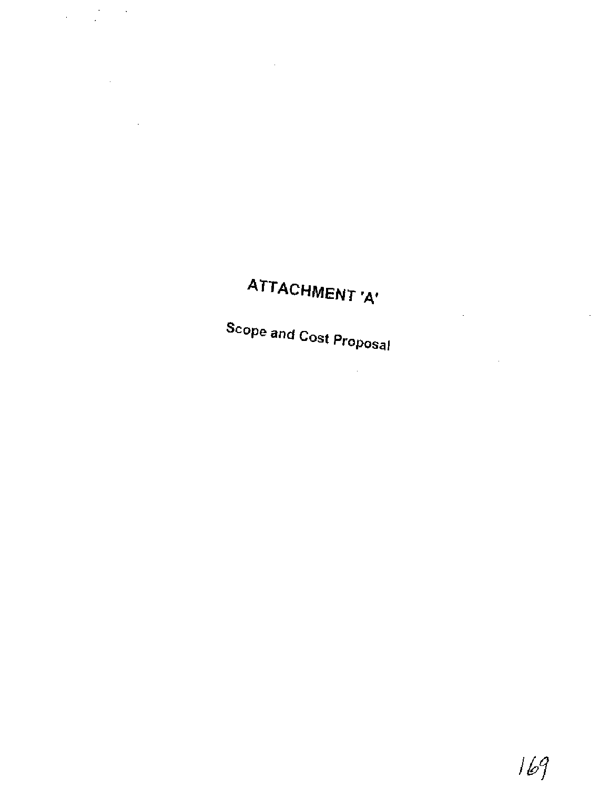# **ATTACHMENT 'A'**

Ċ,

¥,

 $\sim$   $\sim$ 

 $\frac{1}{2} \left( \frac{1}{2} \right) \left( \frac{1}{2} \right) = \frac{1}{2}$ 

 $\mathcal{L}^{\text{max}}_{\text{max}}$ 

**Scope and Cost Proposal** 

 $\sim 10^{-1}$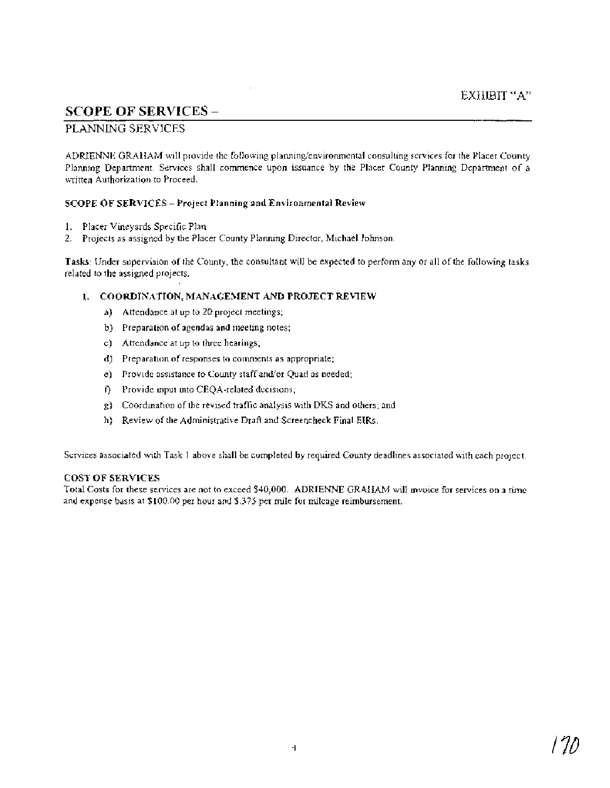# **SCOPE OF SERVICES** -

## PLANNING SERVICES

ADRIENNE GRAHAM will provide the following planning/environmental consulting services for the Placer County Planning Department. Services shall commence upon issuance by the Placer County Planning Department of a written Authorization to Proceed.

## SCOPE OF SERVICES - Project Planning **and** Environmental Review

- 1. Placer Vineyards Specific Plan
- 2. Projects as assigned by the Placer County Planning Director, Michael Johnson

Tasks: Under supervision of the County, the consultant will be expected to perform any or all of the following tasks related to the assigned projects.

## **1.** COORDINATION, MANAGEMENT AND PROJECT REVIEW

- a) Attendance at up to 20 project meetings;
- b) Preparation of agendas and meeting notes;
- c) Attendance at up to three hearings;
- d) Preparation of responses to comments as appropriate;
- e) Provide assistance to County staff and/or Quad as needed;
- **f)** Provide input into CEQA-related decisions;
- g) Coordination of the revised traffic analysis with DKS and others; and
- h) Review of the Administrative Draft and Screencheck Final EIRs.

Services associated with Task 1 above shall be completed by required County deadlines associated with each project.

#### COST OF SERVICES

Total Costs for these services are not to exceed \$40,000. ADRIENNE GRAHAM will invoice for services on a time and expense basis at \$100.00 per hour and \$.375 per mile for mileage reimbursement.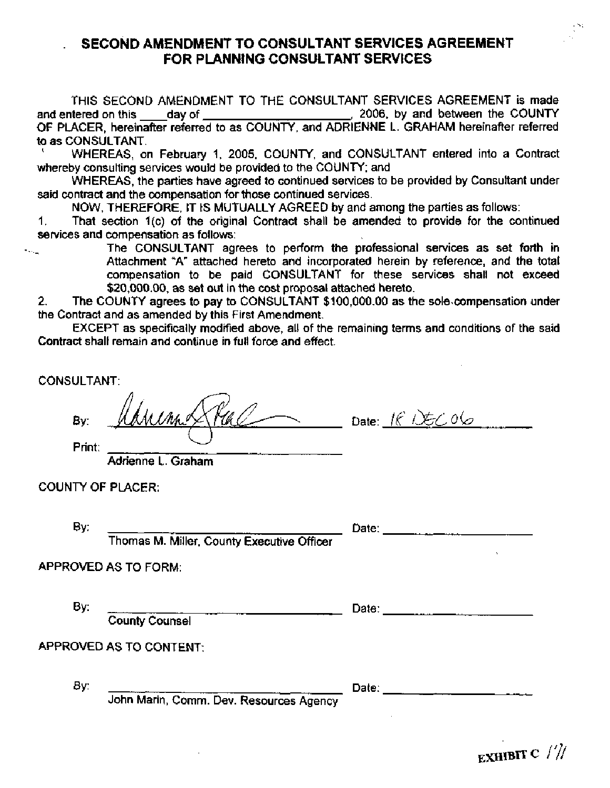# . **SECOND AMENDMENT TO CONSULTANT SERVICES AGREEMENT FOR PLANNING CONSULTANT SERVICES**

THIS SECOND AMENDMENT TO THE CONSULTANT SERVICES AGREEMENT is made and entered on this day of , 2006, by and between the COUNTY OF PLACER, hereinafter referred to as COUNTY, and ADRIENNE L. GRAHAM hereinafter referred to as CONSULTANT.<br>' WHEREAS, on February 1, 2005, COUNTY, and CONSULTANT entered into a Contract

whereby consulting services would be provided to the COUNTY; and

WHEREAS, the parties have agreed to continued services to be provided by Consultant under said contract and the compensation for those continued services.

NOW, THEREFORE, IT IS MUTUALLY AGREED by and among the parties as follows:

1. That section 1(c) of the original Contract shall be amended to provide for the continued services and compensation as follows:

The CONSULTANT agrees to perform the professional services as set forth in Attachment "A" attached hereto and incorporated herein by reference, and the total compensation to be paid CONSULTANT for these services shall not exceed \$20,000.00, as set out in the cost proposal attached hereto.

**2.** The COUNTY agrees to pay to CONSULTANT \$100,000.00 as the sole.compensation under the Contract and as amended by this First Amendment.

EXCEPT as specifically modified above, all of the remaining terms and conditions of the said Contract shall remain and continue in full force and effect.

CONSULTANT:

 $M_{M}$  $\chi$   $H$ Print:

Adrienne L. Graham

COUNTY OF PLACER:

By: Date:

Thomas M. Miller, County Executive Officer

APPROVED AS TO FORM:

County Counsel

APPROVED AS TO CONTENT:

By: Date:

John Marin, Comm. Dev. Resources Agency

By: Date:

EXHIBIT C  $\frac{1}{2}$ 

--